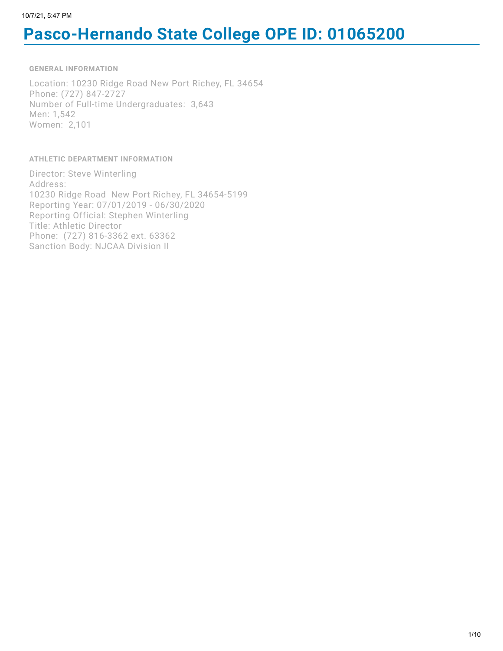# **Pasco-Hernando State College OPE ID: 01065200**

**GENERAL INFORMATION**

Location: 10230 Ridge Road New Port Richey, FL 34654 Phone: (727) 847-2727 Number of Full-time Undergraduates: 3,643 Men: 1,542 Women: 2,101

**ATHLETIC DEPARTMENT INFORMATION**

Director: Steve Winterling Address: 10230 Ridge Road New Port Richey, FL 34654-5199 Reporting Year: 07/01/2019 - 06/30/2020 Reporting Official: Stephen Winterling Title: Athletic Director Phone: (727) 816-3362 ext. 63362 Sanction Body: NJCAA Division II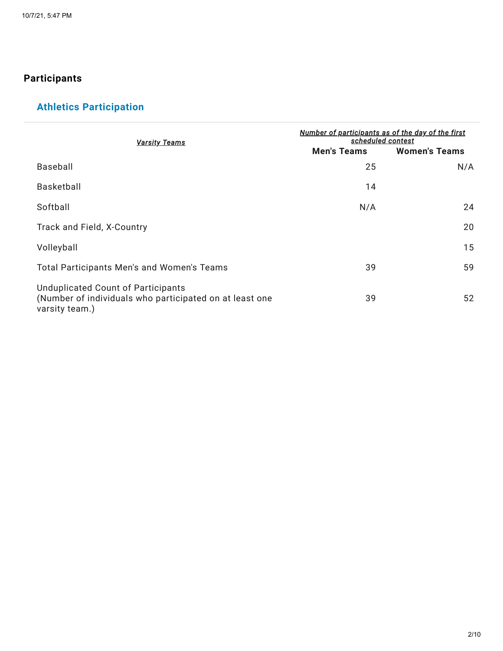### **Participants**

# **Athletics Participation**

| <u>Varsity Teams</u>                                                                                            | Number of participants as of the day of the first<br>scheduled contest |                      |  |  |
|-----------------------------------------------------------------------------------------------------------------|------------------------------------------------------------------------|----------------------|--|--|
|                                                                                                                 | <b>Men's Teams</b>                                                     | <b>Women's Teams</b> |  |  |
| Baseball                                                                                                        | 25                                                                     | N/A                  |  |  |
| Basketball                                                                                                      | 14                                                                     |                      |  |  |
| Softball                                                                                                        | N/A                                                                    | 24                   |  |  |
| Track and Field, X-Country                                                                                      |                                                                        | 20                   |  |  |
| Volleyball                                                                                                      |                                                                        | 15                   |  |  |
| Total Participants Men's and Women's Teams                                                                      | 39                                                                     | 59                   |  |  |
| Unduplicated Count of Participants<br>(Number of individuals who participated on at least one<br>varsity team.) | 39                                                                     | 52                   |  |  |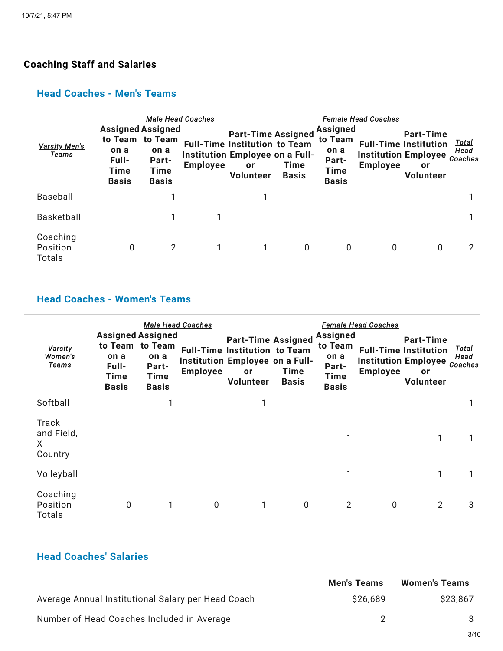### **Coaching Staff and Salaries**

#### **Head Coaches - Men's Teams**

| <b>Varsity Men's</b><br><u>Teams</u>  | <b>Assigned Assigned</b><br>to Team to Team<br>on a<br>Full-<br><b>Time</b><br><b>Basis</b> | <b>Male Head Coaches</b><br>on a<br>Part-<br>Time<br><b>Basis</b> | <b>Employee</b> | <b>Part-Time Assigned</b><br><b>Full-Time Institution to Team</b><br>Institution Employee on a Full-<br>or<br><b>Volunteer</b> | Time<br><b>Basis</b> | <b>Assigned</b><br>to Team<br>on a<br><b>Part-</b><br><b>Time</b><br><b>Basis</b> | <b>Female Head Coaches</b><br><b>Institution Employee</b><br><b>Employee</b> | <b>Part-Time</b><br><b>Full-Time Institution</b><br>or<br>Volunteer | <u>Total</u><br>Head<br>Coaches |
|---------------------------------------|---------------------------------------------------------------------------------------------|-------------------------------------------------------------------|-----------------|--------------------------------------------------------------------------------------------------------------------------------|----------------------|-----------------------------------------------------------------------------------|------------------------------------------------------------------------------|---------------------------------------------------------------------|---------------------------------|
| Baseball                              |                                                                                             |                                                                   |                 |                                                                                                                                |                      |                                                                                   |                                                                              |                                                                     |                                 |
| Basketball                            |                                                                                             |                                                                   |                 |                                                                                                                                |                      |                                                                                   |                                                                              |                                                                     |                                 |
| Coaching<br>Position<br><b>Totals</b> | 0                                                                                           | 2                                                                 |                 |                                                                                                                                | $\mathbf{0}$         | 0                                                                                 | 0                                                                            | 0                                                                   | 2                               |

### **Head Coaches - Women's Teams**

| <u>Varsity</u><br><u>Women's</u><br><u>Teams</u> | <b>Assigned Assigned</b><br>to Team to Team<br>on a<br>Full-<br><b>Time</b><br><b>Basis</b> | on a<br>Part-<br><b>Time</b><br><b>Basis</b> | Male Head Coaches<br><b>Employee</b> | <b>Part-Time Assigned</b><br><b>Full-Time Institution to Team</b><br>Institution Employee on a Full-<br>or<br>Volunteer | Time<br><b>Basis</b> | <b>Assigned</b><br>to Team<br>on a<br>Part-<br><b>Time</b><br><b>Basis</b> | <b>Female Head Coaches</b><br><b>Employee</b> | <b>Part-Time</b><br><b>Full-Time Institution</b><br><b>Institution Employee</b><br>or<br>Volunteer | <u>Total</u><br><b>Head</b><br>Coaches |
|--------------------------------------------------|---------------------------------------------------------------------------------------------|----------------------------------------------|--------------------------------------|-------------------------------------------------------------------------------------------------------------------------|----------------------|----------------------------------------------------------------------------|-----------------------------------------------|----------------------------------------------------------------------------------------------------|----------------------------------------|
| Softball                                         |                                                                                             | 1                                            |                                      | 1                                                                                                                       |                      |                                                                            |                                               |                                                                                                    |                                        |
| <b>Track</b><br>and Field,<br>X-<br>Country      |                                                                                             |                                              |                                      |                                                                                                                         |                      | 1                                                                          |                                               | 1                                                                                                  |                                        |
| Volleyball                                       |                                                                                             |                                              |                                      |                                                                                                                         |                      | 1                                                                          |                                               | 1                                                                                                  |                                        |
| Coaching<br>Position<br>Totals                   | $\mathbf 0$                                                                                 | 1                                            | 0                                    |                                                                                                                         | $\mathbf 0$          | 2                                                                          | $\mathbf 0$                                   | $\overline{2}$                                                                                     | 3                                      |

### **Head Coaches' Salaries**

|                                                    | <b>Men's Teams</b> | <b>Women's Teams</b> |
|----------------------------------------------------|--------------------|----------------------|
| Average Annual Institutional Salary per Head Coach | \$26,689           | \$23,867             |
| Number of Head Coaches Included in Average         |                    |                      |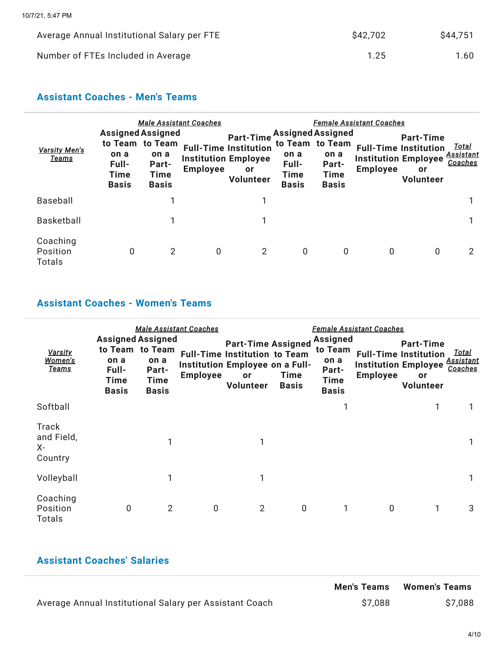| Average Annual Institutional Salary per FTE | \$42,702 | \$44,751 |
|---------------------------------------------|----------|----------|
| Number of FTEs Included in Average          | 1.25     | 1.60     |

### **Assistant Coaches - Men's Teams**

| <b>Varsity Men's</b><br>Teams         | <b>Assigned Assigned</b><br>on a<br>Full-<br><b>Time</b><br><b>Basis</b> | to Team to Team<br>on a<br>Part-<br>Time<br><b>Basis</b> | <b>Male Assistant Coaches</b><br><b>Employee</b> | <b>Part-Time</b><br><b>Full-Time Institution</b><br><b>Institution Employee</b><br>or<br>Volunteer | <b>Assigned Assigned</b><br>on a<br>Full-<br><b>Time</b><br><b>Basis</b> | to Team to Team<br>on a<br>Part-<br>Time<br><b>Basis</b> | <b>Female Assistant Coaches</b><br><b>Institution Employee</b><br><b>Employee</b> | <b>Part-Time</b><br><b>Full-Time Institution</b><br>or<br>Volunteer | <u>Total</u><br><u>Assistant</u><br>Coaches |
|---------------------------------------|--------------------------------------------------------------------------|----------------------------------------------------------|--------------------------------------------------|----------------------------------------------------------------------------------------------------|--------------------------------------------------------------------------|----------------------------------------------------------|-----------------------------------------------------------------------------------|---------------------------------------------------------------------|---------------------------------------------|
| Baseball                              |                                                                          |                                                          |                                                  |                                                                                                    |                                                                          |                                                          |                                                                                   |                                                                     |                                             |
| <b>Basketball</b>                     |                                                                          |                                                          |                                                  |                                                                                                    |                                                                          |                                                          |                                                                                   |                                                                     |                                             |
| Coaching<br>Position<br><b>Totals</b> | 0                                                                        | $\overline{2}$                                           | 0                                                | 2                                                                                                  | 0                                                                        | 0                                                        | 0                                                                                 | 0                                                                   | 2                                           |

### **Assistant Coaches - Women's Teams**

| <b>Varsity</b><br>Women's<br><u>Teams</u> | <b>Assigned Assigned</b><br>on a<br>Full-<br><b>Time</b><br><b>Basis</b> | to Team to Team<br>on a<br>Part-<br>Time<br><b>Basis</b> | <b>Male Assistant Coaches</b><br><b>Employee</b> | <b>Part-Time Assigned</b><br><b>Full-Time Institution to Team</b><br>Institution Employee on a Full-<br>or<br>Volunteer | Time<br><b>Basis</b> | <b>Assigned</b><br>to Team<br>on a<br>Part-<br><b>Time</b><br><b>Basis</b> | <b>Female Assistant Coaches</b><br><b>Institution Employee</b><br><b>Employee</b> | <b>Part-Time</b><br><b>Full-Time Institution</b><br>or<br><b>Volunteer</b> | <u>Total</u><br><b>Assistant</b><br>Coaches |
|-------------------------------------------|--------------------------------------------------------------------------|----------------------------------------------------------|--------------------------------------------------|-------------------------------------------------------------------------------------------------------------------------|----------------------|----------------------------------------------------------------------------|-----------------------------------------------------------------------------------|----------------------------------------------------------------------------|---------------------------------------------|
| Softball                                  |                                                                          |                                                          |                                                  |                                                                                                                         |                      |                                                                            |                                                                                   |                                                                            |                                             |
| Track<br>and Field,<br>X-<br>Country      |                                                                          |                                                          |                                                  |                                                                                                                         |                      |                                                                            |                                                                                   |                                                                            |                                             |
| Volleyball                                |                                                                          | 1                                                        |                                                  | 1                                                                                                                       |                      |                                                                            |                                                                                   |                                                                            |                                             |
| Coaching<br>Position<br>Totals            | 0                                                                        | $\overline{2}$                                           | $\mathbf 0$                                      | 2                                                                                                                       | $\mathbf 0$          | 1                                                                          | $\mathbf 0$                                                                       | 1                                                                          | 3                                           |

### **Assistant Coaches' Salaries**

|                                                         | <b>Men's Teams</b> | <b>Women's Teams</b> |
|---------------------------------------------------------|--------------------|----------------------|
| Average Annual Institutional Salary per Assistant Coach | \$7,088            | \$7,088              |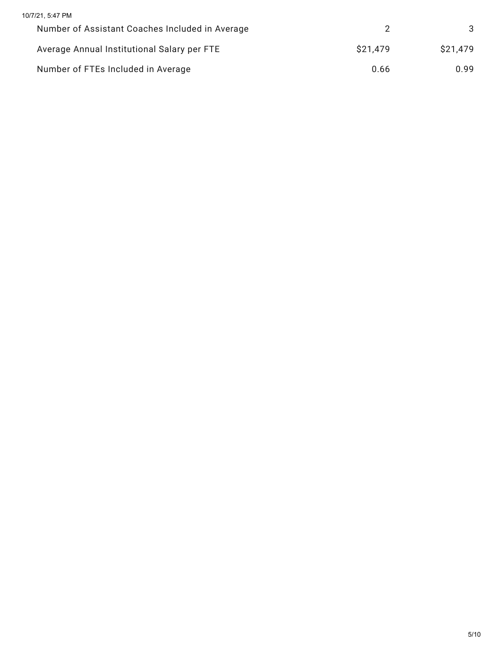| 10/7/21, 5:47 PM                                |          |          |
|-------------------------------------------------|----------|----------|
| Number of Assistant Coaches Included in Average |          | 3        |
| Average Annual Institutional Salary per FTE     | \$21,479 | \$21,479 |
| Number of FTEs Included in Average              | 0.66     | 0.99     |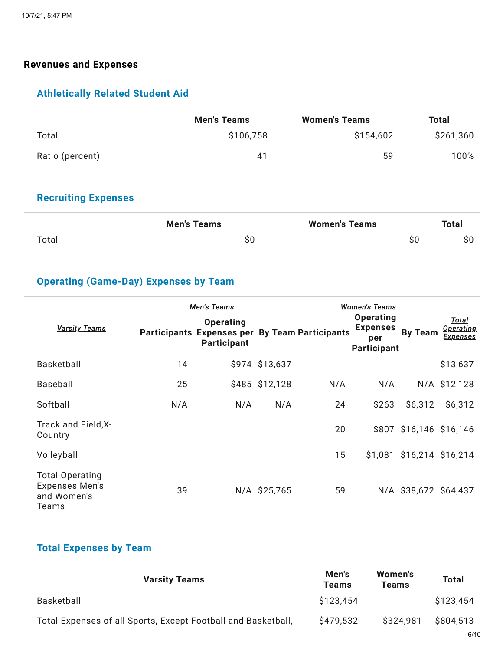#### **Revenues and Expenses**

### **Athletically Related Student Aid**

|                 | <b>Men's Teams</b> | <b>Women's Teams</b> | <b>Total</b> |
|-----------------|--------------------|----------------------|--------------|
| Total           | \$106,758          | \$154,602            | \$261,360    |
| Ratio (percent) | 41                 | 59                   | 100%         |

### **Recruiting Expenses**

|       | <b>Men's Teams</b> | <b>Women's Teams</b> | <b>Total</b> |
|-------|--------------------|----------------------|--------------|
| Total | \$0                |                      | \$0          |

# **Operating (Game-Day) Expenses by Team**

| <b>Varsity Teams</b>                                                    |     | <b>Men's Teams</b><br><b>Operating</b><br>Participants Expenses per By Team Participants<br><b>Participant</b> |                |     | <u>Women's Teams</u><br><b>Operating</b><br><b>Expenses</b><br>per<br><b>Participant</b> | <b>By Team</b>            | Total<br><b>Operating</b><br><u>Expenses</u> |
|-------------------------------------------------------------------------|-----|----------------------------------------------------------------------------------------------------------------|----------------|-----|------------------------------------------------------------------------------------------|---------------------------|----------------------------------------------|
| <b>Basketball</b>                                                       | 14  |                                                                                                                | \$974 \$13,637 |     |                                                                                          |                           | \$13,637                                     |
| Baseball                                                                | 25  |                                                                                                                | \$485 \$12,128 | N/A | N/A                                                                                      |                           | N/A \$12,128                                 |
| Softball                                                                | N/A | N/A                                                                                                            | N/A            | 24  | \$263                                                                                    | \$6,312                   | \$6,312                                      |
| Track and Field, X-<br>Country                                          |     |                                                                                                                |                | 20  |                                                                                          | \$807 \$16,146 \$16,146   |                                              |
| Volleyball                                                              |     |                                                                                                                |                | 15  |                                                                                          | \$1,081 \$16,214 \$16,214 |                                              |
| <b>Total Operating</b><br><b>Expenses Men's</b><br>and Women's<br>Teams | 39  |                                                                                                                | N/A \$25,765   | 59  |                                                                                          | N/A \$38,672 \$64,437     |                                              |

### **Total Expenses by Team**

| <b>Varsity Teams</b>                                          | Men's<br><b>Teams</b> | Women's<br><b>Teams</b> | <b>Total</b> |
|---------------------------------------------------------------|-----------------------|-------------------------|--------------|
| Basketball                                                    | \$123.454             |                         | \$123,454    |
| Total Expenses of all Sports, Except Football and Basketball, | \$479,532             | \$324.981               | \$804.513    |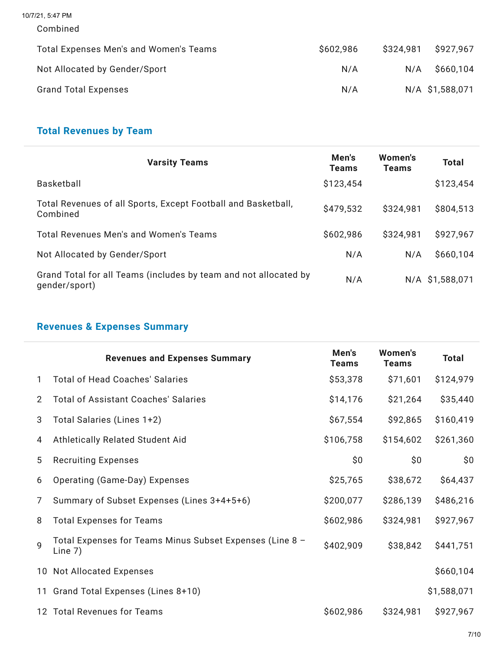10/7/21, 5:47 PM

```
Combined
```

| Total Expenses Men's and Women's Teams | \$602,986 | \$324.981 | \$927,967       |
|----------------------------------------|-----------|-----------|-----------------|
| Not Allocated by Gender/Sport          | N/A       | N/A       | \$660,104       |
| <b>Grand Total Expenses</b>            | N/A       |           | N/A \$1,588,071 |

# **Total Revenues by Team**

| <b>Varsity Teams</b>                                                              | Men's<br><b>Teams</b> | Women's<br><b>Teams</b> | <b>Total</b>    |
|-----------------------------------------------------------------------------------|-----------------------|-------------------------|-----------------|
| Basketball                                                                        | \$123,454             |                         | \$123,454       |
| Total Revenues of all Sports, Except Football and Basketball,<br>Combined         | \$479,532             | \$324,981               | \$804,513       |
| Total Revenues Men's and Women's Teams                                            | \$602,986             | \$324,981               | \$927,967       |
| Not Allocated by Gender/Sport                                                     | N/A                   | N/A                     | \$660,104       |
| Grand Total for all Teams (includes by team and not allocated by<br>gender/sport) | N/A                   |                         | N/A \$1,588,071 |

# **Revenues & Expenses Summary**

|              | <b>Revenues and Expenses Summary</b>                                  | Men's<br><b>Teams</b> | <b>Women's</b><br><b>Teams</b> | <b>Total</b> |
|--------------|-----------------------------------------------------------------------|-----------------------|--------------------------------|--------------|
| 1.           | <b>Total of Head Coaches' Salaries</b>                                | \$53,378              | \$71,601                       | \$124,979    |
| 2            | <b>Total of Assistant Coaches' Salaries</b>                           | \$14,176              | \$21,264                       | \$35,440     |
| 3            | Total Salaries (Lines 1+2)                                            | \$67,554              | \$92,865                       | \$160,419    |
| 4            | Athletically Related Student Aid                                      | \$106,758             | \$154,602                      | \$261,360    |
| 5            | <b>Recruiting Expenses</b>                                            | \$0\$                 | \$0                            | \$0          |
| 6            | Operating (Game-Day) Expenses                                         | \$25,765              | \$38,672                       | \$64,437     |
| 7            | Summary of Subset Expenses (Lines 3+4+5+6)                            | \$200,077             | \$286,139                      | \$486,216    |
| 8            | <b>Total Expenses for Teams</b>                                       | \$602,986             | \$324,981                      | \$927,967    |
| $\mathsf{Q}$ | Total Expenses for Teams Minus Subset Expenses (Line 8 -<br>Line $7)$ | \$402,909             | \$38,842                       | \$441,751    |
|              | 10 Not Allocated Expenses                                             |                       |                                | \$660,104    |
| 11           | Grand Total Expenses (Lines 8+10)                                     |                       |                                | \$1,588,071  |
|              | 12 Total Revenues for Teams                                           | \$602,986             | \$324,981                      | \$927,967    |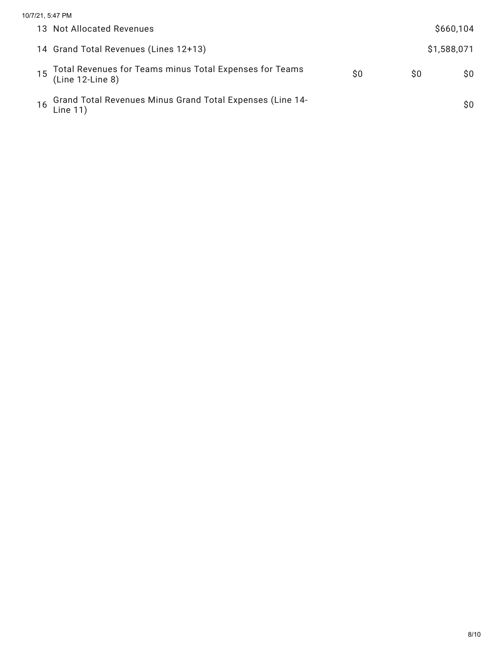| 10/7/21, 5:47 PM                                                            |    |    |             |
|-----------------------------------------------------------------------------|----|----|-------------|
| 13 Not Allocated Revenues                                                   |    |    | \$660,104   |
| 14 Grand Total Revenues (Lines 12+13)                                       |    |    | \$1,588,071 |
| Total Revenues for Teams minus Total Expenses for Teams<br>(Line 12-Line 8) | S0 | S0 | SO.         |
| Grand Total Revenues Minus Grand Total Expenses (Line 14-<br>16<br>Line 11) |    |    | SO.         |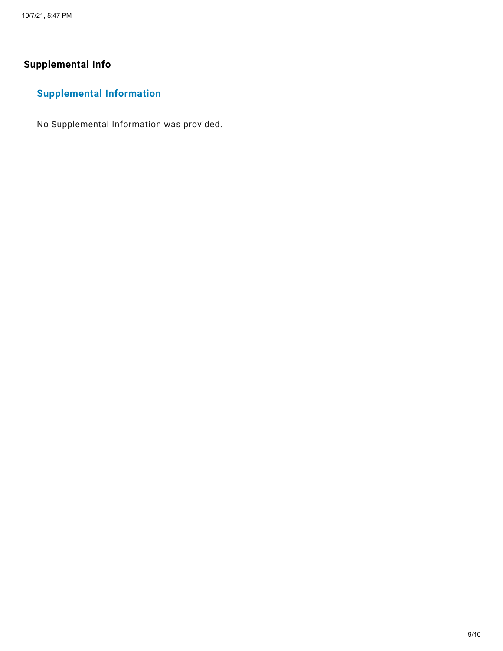# **Supplemental Info**

# **Supplemental Information**

No Supplemental Information was provided.